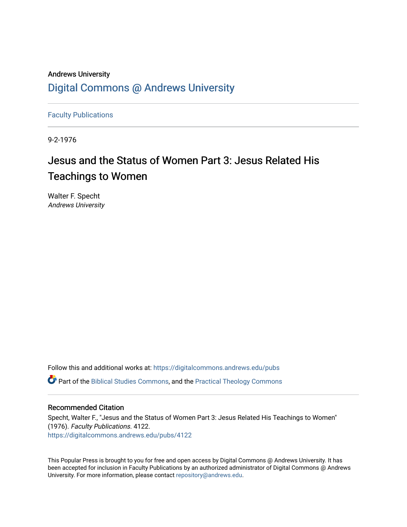## Andrews University [Digital Commons @ Andrews University](https://digitalcommons.andrews.edu/)

[Faculty Publications](https://digitalcommons.andrews.edu/pubs)

9-2-1976

## Jesus and the Status of Women Part 3: Jesus Related His Teachings to Women

Walter F. Specht Andrews University

Follow this and additional works at: [https://digitalcommons.andrews.edu/pubs](https://digitalcommons.andrews.edu/pubs?utm_source=digitalcommons.andrews.edu%2Fpubs%2F4122&utm_medium=PDF&utm_campaign=PDFCoverPages)  Part of the [Biblical Studies Commons,](http://network.bepress.com/hgg/discipline/539?utm_source=digitalcommons.andrews.edu%2Fpubs%2F4122&utm_medium=PDF&utm_campaign=PDFCoverPages) and the [Practical Theology Commons](http://network.bepress.com/hgg/discipline/1186?utm_source=digitalcommons.andrews.edu%2Fpubs%2F4122&utm_medium=PDF&utm_campaign=PDFCoverPages) 

#### Recommended Citation

Specht, Walter F., "Jesus and the Status of Women Part 3: Jesus Related His Teachings to Women" (1976). Faculty Publications. 4122. [https://digitalcommons.andrews.edu/pubs/4122](https://digitalcommons.andrews.edu/pubs/4122?utm_source=digitalcommons.andrews.edu%2Fpubs%2F4122&utm_medium=PDF&utm_campaign=PDFCoverPages) 

This Popular Press is brought to you for free and open access by Digital Commons @ Andrews University. It has been accepted for inclusion in Faculty Publications by an authorized administrator of Digital Commons @ Andrews University. For more information, please contact [repository@andrews.edu](mailto:repository@andrews.edu).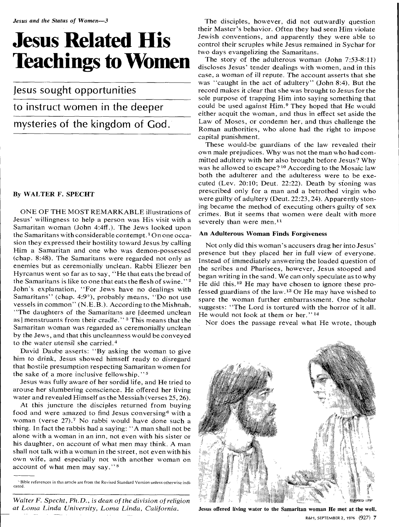# **Jesus Related His Teachings to Women**

Jesus sought opportunities

### to instruct women in the deeper

mysteries of the kingdom of God.

#### By WALTER F. SPECHT

ONE OF THE MOST REMARKABLE illustrations of Jesus' willingness to help a person was His visit with a Samaritan woman (John 4:4ff.). The Jews looked upon the Samaritans with considerable contempt.' On one occasion they expressed their hostility toward Jesus by calling Him a Samaritan and one who was demon-possessed (chap. 8:48). The Samaritans were regarded not only as enemies but as ceremonially unclean. Rabbi Eliezer ben Hyrcanus went so far as to say, "He that eats the bread of the Samaritans is like to one that eats the flesh of swine." <sup>2</sup> John's explanation, "For Jews have no dealings with Samaritans" (chap. 4:9<sup>\*</sup>), probably means, "Do not use vessels in common" (N.E.B.). According to the Mishnah, "The daughters of the Samaritans are [deemed unclean as] menstruants from their cradle."<sup>3</sup> This means that the Samaritan woman was regarded as ceremonially unclean by the Jews, and that this uncleanness would be conveyed to the water utensil she carried.4

David Daube asserts: "By asking the woman to give him to drink, Jesus showed himself ready to disregard that hostile presumption respecting Samaritan women for the sake of a more inclusive fellowship." <sup>5</sup>

Jesus was fully aware of her sordid life, and He tried to arouse her slumbering conscience. He offered her living water and revealed Himself as the Messiah (verses 25, 26).

At this juncture the disciples returned from buying food and were amazed to find Jesus conversing  $\epsilon$  with a woman (verse 27).<sup>7</sup> No rabbi would have done such a thing. In fact the rabbis had a saying: "A man shall not be alone with a woman in an inn, not even with his sister or his daughter, on account of what men may think. A man shall not talk with a woman in the street, not even with his own wife, and especially not with another woman on account of what men may say." <sup>8</sup>

Bible references in this article are from the Revised Standard Version unless otherwise indicated.

*Walter F. Specht, Ph.D., is dean of the division of religion at Loma Linda University, Loma Linda, California.* 

The disciples, however, did not outwardly question their Master's behavior. Often they had *seen* Him violate Jewish conventions, and apparently they were able to control their scruples while Jesus remained in Sychar for two days evangelizing the Samaritans.

The story of the adulterous woman (John 7:53-8:11) discloses Jesus' tender dealings with women, and in this case, a woman of ill repute. The account asserts that she was "caught in the act of adultery" (John 8:4). But the record makes it clear that she was brought to Jesus for the sole purpose of trapping Him into saying something that could be used against Him.<sup>9</sup> They hoped that He would either acquit the woman, and thus in effect set aside the Law of Moses, or condemn her, and thus challenge the Roman authorities, who alone had the right to impose capital punishment.

These would-be guardians of the law revealed their own male prejudices. Why was not the man who had committed adultery with her also brought before Jesus? Why was he allowed to escape?<sup>10</sup> According to the Mosaic law both the adulterer and the adulteress were to be executed (Lev. 20:10; Deut. 22:22). Death by stoning was prescribed only for a man and a betrothed virgin who were guilty of adultery (Deut. 22:23,24). Apparently stoning became the method of executing others guilty of sex crimes. But it seems that women were dealt with more severely than were men.<sup>11</sup>

#### **An Adulterous Woman Finds Forgiveness**

Not only did this woman's accusers drag her into Jesus' *presence* but they placed her in full view of *everyone.*  Instead of immediately answering the loaded question of the scribes and Pharisees, however, Jesus stooped and began writing in the sand. We can only speculate as to why He did this.<sup>12</sup> He may have chosen to ignore these professed guardians of the law.<sup>13</sup> Or He may have wished to spare the woman further embarrassment. One scholar suggests: "The Lord is tortured with the horror of it all. He would not look at them or her."<sup>14</sup>

Nor does the passage reveal what He wrote, though



Jesus offered living water to the Samaritan woman He met at the well.

R&H, SEPTEMBER 2, 1976 (927) 7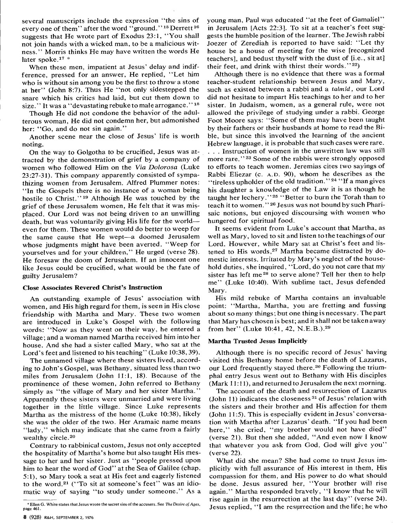several manuscripts include the expression "the sins of every one of them" after the word "ground." 15 Derrett <sup>18</sup> suggests that He wrote part of Exodus 23:1, "You shall not join hands with a wicked man, to be a malicious witness." Morris thinks He may have written the words He later spoke.<sup>17</sup> \*

When these men, impatient at Jesus' delay and indifference, pressed for an answer, He replied, "Let him who is without sin among you be the first to throw a stone at her" (John 8:7). Thus He "not only sidestepped the snare which his critics had laid, but cut them down to size." It was a "devastating rebuke to male arrogance."<sup>18</sup>

Though He did not condone the behavior of the adulterous woman, He did not condemn her, but admonished her: "Go, and do not sin again."

Another scene near the close of Jesus' life is worth noting.

On the way to Golgotha to be crucified, Jesus was attracted by the demonstration of grief by a company of women who followed Him on the *Via Dolorosa* (Luke 23:27-31). This company apparently consisted of sympathizing women from Jerusalem. Alfred Plummer notes: "In the Gospels there is no instance of a woman being hostile to Christ."<sup>19</sup> Although He was touched by the grief of these Jerusalem women, He felt that it was misplaced. Our Lord was not being driven to an unwilling death, but was voluntarily giving His life for the world even for them. These women would do better to weep for the same cause that He wept—a doomed Jerusalem whose judgments might have been averted. "Weep for yourselves and for your children," He urged (verse 28). He foresaw the doom of Jerusalem. If an innocent one like Jesus could be crucified, what would be the fate of guilty Jerusalem?

#### **Close Associates Revered Christ's Instruction**

An outstanding example of Jesus' association with women, and His high regard for them, is seen in His close friendship with Martha and Mary. These two women are introduced in Luke's Gospel with the following words: "Now as they went on their way, he entered a village; and a woman named Martha received him into her house. And she had a sister called Mary, who sat at the Lord's feet and listened to his teaching" (Luke 10:38, 39).

The unnamed village where these sisters lived, according to John's Gospel, was Bethany, situated less than two miles from Jerusalem (John 11:1, 18). Because of the prominence of these women, John referred to Bethany simply as "the village of Mary and her sister Martha." Apparently these sisters were unmarried and were living together in the little village. Since Luke represents Martha as the mistress of the home (Luke 10:38), likely she was the older of the two. Her Aramaic name means "lady," which may indicate that she came from a fairly wealthy circle.<sup>20</sup>

Contrary to rabbinical custom, Jesus not only accepted the hospitality of Martha's home but also taught His message to her and her sister. Just as "people pressed upon him to hear the word of God" at the Sea of Galilee (chap. 5:1), so Mary took a seat at His feet and eagerly listened to the word.21 ("To sit at someone's feet" was an idiomatic way of saying "to study under someone." As a

young man, Paul was educated "at the feet of Gamaliel" in Jerusalem [Acts 22:3]. To sit at a teacher's feet suggests the humble position of the learner. The Jewish rabbi Joezer of Zerediah is reported to have said: "Let thy house be a house of meeting for the wise [recognized teachers], and bedust thyself with the dust of [i.e., sit at] their feet, and drink with thirst their words."<sup>22</sup>)

Although there is no evidence that there was a formal teacher-student relationship between Jesus and Mary, such as existed between a rabbi and a *talmic ,* our Lord did not hesitate to impart His teachings to her and to her sister. In Judaism, women, as a general rule, were not allowed the privilege of studying under a rabbi. George Foot Moore says: "Some of them may have been taught by their fathers or their husbands at home to read the Bible, but since this involved the learning of the ancient Hebrew language, it is probable that such cases were rare. . . . Instruction of women in the unwritten law was still more rare."<sup>23</sup> Some of the rabbis were strongly opposed to efforts to teach women. Jeremias cites two sayings of Rabbi Eliezar (c. A.D. 90), whom he describes as the "tireless upholder of the old tradition."<sup>24</sup> "If a man gives his daughter a knowledge of the Law it is as though he taught her lechery." 25 "Better to burn the Torah than to teach it to women." 26 Jesus was not bound by such Pharisaic notions, but enjoyed discoursing with women who hungered for spiritual food.

It seems evident from Luke's account that Martha, as well as Mary, loved to sit and listen to the teachings of our Lord. However, while Mary sat at Christ's feet and listened to His words,<sup>27</sup> Martha became distracted by domestic interests. Irritated by Mary's neglect of the household duties, she inquired, "Lord, do you not care that my sister has left me 28 to serve alone? Tell her then to help me" (Luke 10:40). With sublime tact, Jesus defended Mary.

His mild rebuke of Martha contains an invaluable point: "Martha, Martha, you are fretting and fussing about so many things; but one thing is necessary. The part that Mary has chosen is best; and it shall not be taken away from her" (Luke 10:41, 42, N.E.B.).29

#### **Martha Trusted Jesus Implicitly**

Although there is no specific record of Jesus' having visited this Bethany home before the death of Lazarus, our Lord frequently stayed there.<sup>30</sup> Following the triumphal entry Jesus went out to Bethany with His disciples (Mark 11:11), and returned to Jerusalem the next morning.

The account of the death and resurrection of Lazarus (John 11) indicates the closeness 31 of Jesus' relation with the sisters and their brother and His affection for them (John 11:5). This is especially evident in Jesus' conversation with Martha after Lazarus' death. "If you had been here," she cried, "my brother would not have died" (verse 21). But then she added, "And even now I know that whatever you ask from God, God will give you" (verse 22).

What did she mean? She had come to trust Jesus implicitly with full assurance of His interest in them, His compassion for them, and His power to do what should be done. Jesus assured her, "Your brother will rise again." Martha responded bravely, **"I** know that he will rise again in the resurrection at the last day" (verse 24). Jesus replied, "I am the resurrection and the life; he who

<sup>\*</sup> Ellen G. White states that Jesus wrote the secret sins of the accusers. See *The Desire of Ages,*  page 461.